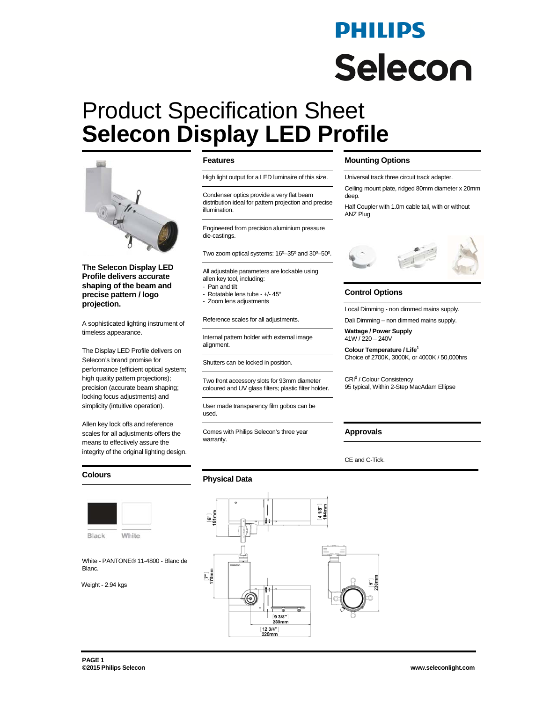# PHILIPS **Selecon**

# Product Specification Sheet **Selecon Display LED Profile**



**The Selecon Display LED Profile delivers accurate shaping of the beam and precise pattern / logo projection.** 

A sophisticated lighting instrument of timeless appearance.

The Display LED Profile delivers on Selecon's brand promise for performance (efficient optical system; high quality pattern projections); precision (accurate beam shaping; locking focus adjustments) and simplicity (intuitive operation).

Allen key lock offs and reference scales for all adjustments offers the means to effectively assure the integrity of the original lighting design.

#### **Colours**



Black White

White - PANTONE® 11-4800 - Blanc de Blanc.

Weight - 2.94 kgs

#### **Features**

High light output for a LED luminaire of this size.

Condenser optics provide a very flat beam distribution ideal for pattern projection and precise illumination.

Engineered from precision aluminium pressure die-castings.

Two zoom optical systems: 16º–35º and 30º–50º.

All adjustable parameters are lockable using allen key tool, including:

- Pan and tilt
- Rotatable lens tube +/- 45°
- Zoom lens adjustments

Reference scales for all adjustments.

Internal pattern holder with external image alignment.

Shutters can be locked in position.

Two front accessory slots for 93mm diameter coloured and UV glass filters; plastic filter holder.

> 9 3/8" 238mm [12 3/4"]<br>325mm

User made transparency film gobos can be used.

Comes with Philips Selecon's three year warranty.

**Physical Data** 

**ت** 

 $\frac{[7]}{178}$ mm

#### **Mounting Options**

Universal track three circuit track adapter.

Ceiling mount plate, ridged 80mm diameter x 20mm deep.

Half Coupler with 1.0m cable tail, with or without ANZ Plug



#### **Control Options**

Local Dimming - non dimmed mains supply.

Dali Dimming – non dimmed mains supply.

**Wattage / Power Supply** 41W / 220 – 240V

**Colour Temperature / Life1** Choice of 2700K, 3000K, or 4000K / 50,000hrs

CRI**<sup>2</sup>** / Colour Consistency 95 typical, Within 2-Step MacAdam Ellipse

#### **Approvals**

CE and C-Tick.

4 1/8"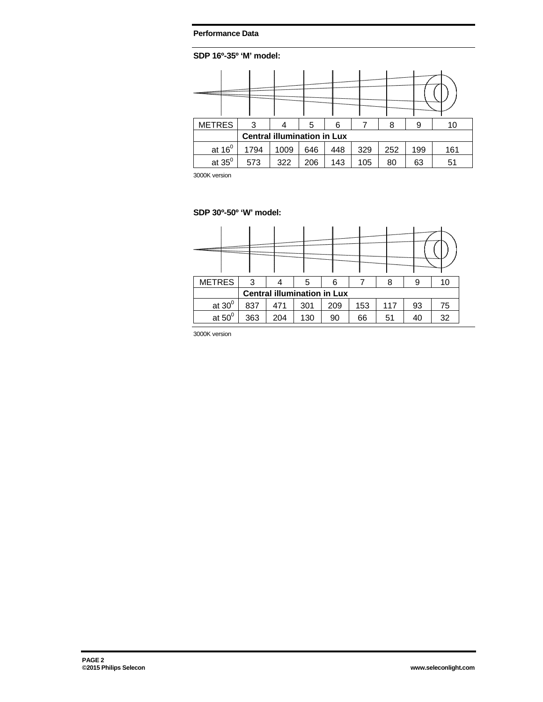### **Performance Data**

# **SDP 16º-35º 'M' model:**

| <b>METRES</b>                      | 3    |      | 5   | 6   |     | 8   | 9   | 10  |
|------------------------------------|------|------|-----|-----|-----|-----|-----|-----|
| <b>Central illumination in Lux</b> |      |      |     |     |     |     |     |     |
| at $16^0$                          | 1794 | 1009 | 646 | 448 | 329 | 252 | 199 | 161 |
| at $35^0$                          | 573  | 322  | 206 | 143 | 105 | 80  | 63  | 51  |

3000K version

## **SDP 30º-50º 'W' model:**

| <b>METRES</b>                      | 3   |     | 5   | 6   |     | 8   | 9  | 10 |
|------------------------------------|-----|-----|-----|-----|-----|-----|----|----|
| <b>Central illumination in Lux</b> |     |     |     |     |     |     |    |    |
| at $30^0$                          | 837 | 471 | 301 | 209 | 153 | 117 | 93 | 75 |
| at $50^0$                          | 363 | 204 | 130 | 90  | 66  | 51  | 40 | 32 |

3000K version